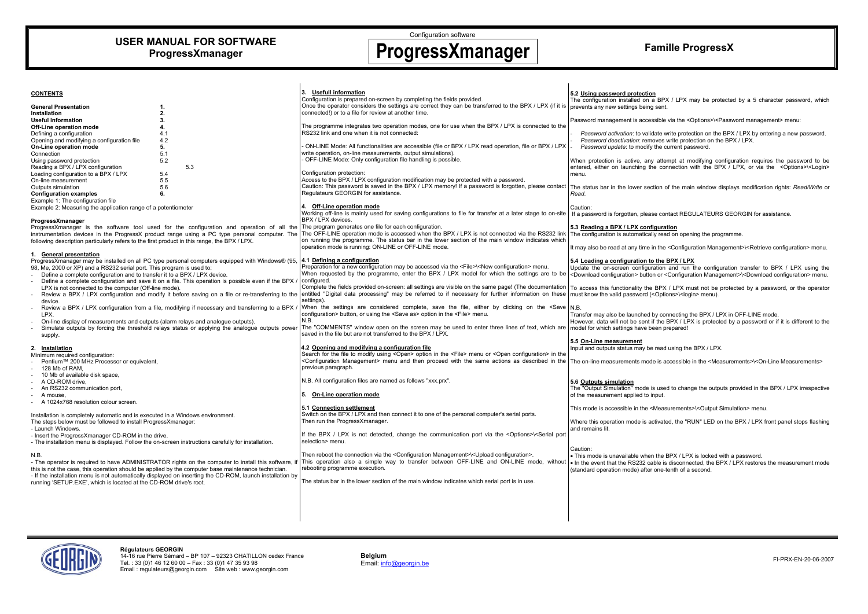## **USER MANUAL FOR SOFTWARE ProgressXmanager**

Configuration software

# **ProgressXmanager Famille ProgressX**

**CONTENTS General Presentation** 1. **Installation 2.**  $2.$ **Useful Information 3. Off-Line operation mode 4.**<br> **Defining a configuration** 4.1 Defining a configuration 4.1<br>Opening and modifying a configuration file 4.2 Opening and modifying a configuration file 4.2<br> **On-Line operation mode 5. On-Line operation mode 5.**<br>Connection 5.1 Connection  $5.2$ Using password protection Reading a BPX / LPX configuration 5.3<br>
Loading configuration to a BPX / LPX 5.4 Loading configuration to a BPX / LPX On-line measurement 5.5  $5.5$ Outputs simulation 5.6 **Configuration examples 6.**  Example 1: The configuration file Example 2: Measuring the application range of a potentiometer **ProgressXmanager** ProgressXmanager is the software tool used for the configuration and operation of all the instrumentation devices in the ProgressX product range using a PC type personal computer. The following description particularly refers to the first product in this range, the BPX / LPX. **1. General presentation** ProgressXmanager may be installed on all PC type personal computers equipped with Windows® (95, 98, Me, 2000 or XP) and a RS232 serial port. This program is used to: - Define a complete configuration and to transfer it to a BPX / LPX device. Define a complete configuration and save it on a file. This operation is possible even if the BPX / LPX is not connected to the computer (Off-line mode). Review a BPX / LPX configuration and modify it before saving on a file or re-transferring to the device. Review a BPX / LPX configuration from a file, modifying if necessary and transferring to a BPX . LPX. - On-line display of measurements and outputs (alarm relays and analogue outputs). Simulate outputs by forcing the threshold relays status or applying the analogue outputs power supply. **2. Installation** Minimum required configuration: Pentium™ 200 MHz Processor or equivalent, 128 Mb of RAM, 10 Mb of available disk space A CD-ROM drive, An RS232 communication port, A mouse. A 1024x768 resolution colour screen. Installation is completely automatic and is executed in a Windows environment. The steps below must be followed to install ProgressXmanager: - Launch Windows. - Insert the ProgressXmanager CD-ROM in the drive. - The installation menu is displayed. Follow the on-screen instructions carefully for installation. N.B. - The operator is required to have ADMINISTRATOR rights on the computer to install this software, if this is not the case, this operation should be applied by the computer base maintenance technician. - If the installation menu is not automatically displayed on inserting the CD-ROM, launch installation by running 'SETUP.EXE', which is located at the CD-ROM drive's root. **3. Usefull information** Configuration is prepared on-screen by completing the fields provided. Once the operator considers the settings are correct they can be transferred to the BPX / LPX (if it is connected!) or to a file for review at another time. The programme integrates two operation modes, one for use when the BPX / LPX is connected to the RS232 link and one when it is not connected: - ON-LINE Mode: All functionalities are accessible (file or BPX / LPX read operation, file or BPX / LPX write operation, on-line measurements, output simulations). - OFF-LINE Mode: Only configuration file handling is possible. Configuration protection: Access to the BPX / LPX configuration modification may be protected with a password. Caution: This password is saved in the BPX / LPX memory! If a password is forgotten, please contact Regulateurs GEORGIN for assistance. **4. Off-Line operation mode** Working off-line is mainly used for saving configurations to file for transfer at a later stage to on-site BPX / LPX devices. The program generates one file for each configuration. The OFF-LINE operation mode is accessed when the BPX / LPX is not connected via the RS232 link on running the programme. The status bar in the lower section of the main window indicates which operation mode is running: ON-LINE or OFF-LINE mode. **4.1 Defining a configuration** Preparation for a new configuration may be accessed via the <File>\<New configuration> menu. When requested by the programme, enter the BPX / LPX model for which the settings are to be configured. Complete the fields provided on-screen: all settings are visible on the same page! (The documentation entitled "Digital data processing" may be referred to if necessary for further information on these settings). When the settings are considered complete, save the file, either by clicking on the <Save configuration> button, or using the <Save as> option in the <File> menu. N.B. The "COMMENTS" window open on the screen may be used to enter three lines of text, which are saved in the file but are not transferred to the BPX / LPX. **4.2 Opening and modifying a configuration file** Search for the file to modify using <Open> option in the <File> menu or <Open configuration> in the <Configuration Management> menu and then proceed with the same actions as described in the previous paragraph. N.B. All configuration files are named as follows "xxx.prx". **5. On-Line operation mode 5.1 Connection settlement** Switch on the BPX / LPX and then connect it to one of the personal computer's serial ports. Then run the ProgressXmanager If the BPX / LPX is not detected, change the communication port via the <Options>\<Serial port selection> menu. Then reboot the connection via the <Configuration Management>\<Upload configuration>. This operation also a simple way to transfer between OFF-LINE and ON-LINE mode, without rebooting programme execution. The status bar in the lower section of the main window indicates which serial port is in use. **5.2 Using password protection** The configuration installed on a BPX / LPX may be protected by a 5 character password, which prevents any new settings being sent. Password management is accessible via the <Options>\<Password management> menu: - *Password activation*: to validate write protection on the BPX / LPX by entering a new password. - *Password deactivation*: removes write protection on the BPX / LPX. *Password update*: to modify the current password. When protection is active, any attempt at modifying configuration requires the password to be entered, either on launching the connection with the BPX / LPX, or via the <Options> $\leq$ Login> menu. The status bar in the lower section of the main window displays modification rights: *Read/Write* or *Read*. Caution: If a password is forgotten, please contact REGULATEURS GEORGIN for assistance. **5.3 Reading a BPX / LPX configuration** The configuration is automatically read on opening the programme. It may also be read at any time in the <Configuration Management>\<Retrieve configuration> menu. **5.4 Loading a configuration to the BPX / LPX** Update the on-screen configuration and run the configuration transfer to BPX / LPX using the <Download configuration> button or <Configuration Management>\<Download configuration> menu. To access this functionality the BPX / LPX must not be protected by a password, or the operator must know the valid password (<Options>\<login> menu). N.B. Transfer may also be launched by connecting the BPX / LPX in OFF-LINE mode. However, data will not be sent if the BPX / LPX is protected by a password or if it is different to the model for which settings have been prepared! **5.5 On-Line measurement** Input and outputs status may be read using the BPX / LPX. The on-line measurements mode is accessible in the <Measurements>\<On-Line Measurements> **5.6 Outputs simulation** The "Output Simulation" mode is used to change the outputs provided in the BPX / LPX irrespective of the measurement applied to input. This mode is accessible in the <Measurements>\<Output Simulation> menu. Where this operation mode is activated, the "RUN" LED on the BPX / LPX front panel stops flashing and remains lit. Caution: • This mode is unavailable when the BPX / LPX is locked with a password. • In the event that the RS232 cable is disconnected, the BPX / LPX restores the measurement mode (standard operation mode) after one-tenth of a second.



**Belgium**<br> **Email:** info@georgin.be Email: info@georgin.be FI-PRX-EN-20-06-2007

### **Régulateurs GEORGIN**

14-16 rue Pierre Sémard – BP 107 – 92323 CHATILLON cedex France Tel. : 33 (0)1 46 12 60 00 – Fax : 33 (0)1 47 35 93 98 Email : regulateurs@georgin.com Site web : www.georgin.com